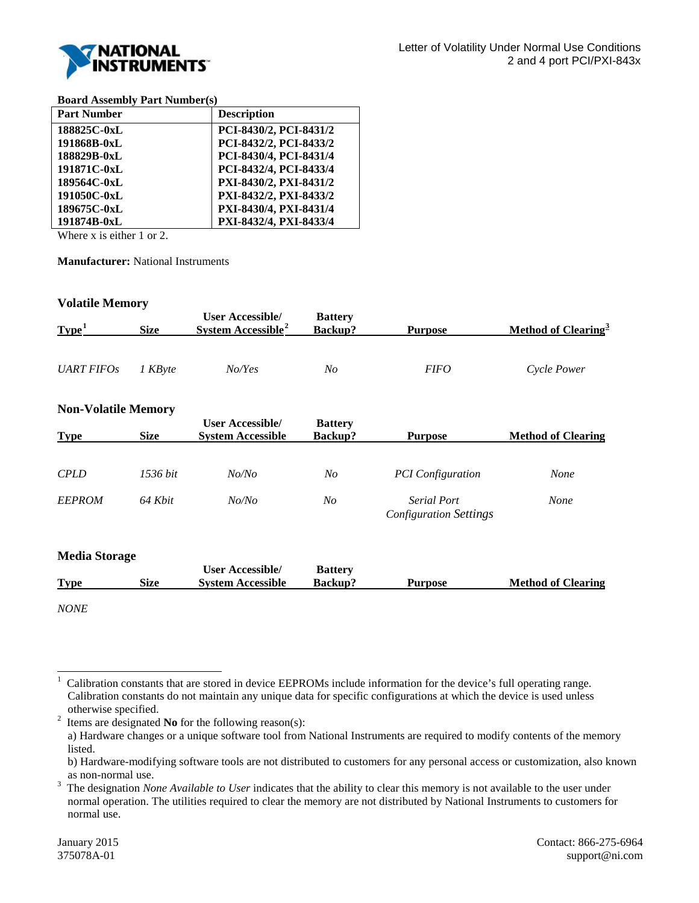

### **Board Assembly Part Number(s)**

| <b>Part Number</b> | <b>Description</b>     |
|--------------------|------------------------|
| 188825C-0xL        | PCI-8430/2, PCI-8431/2 |
| 191868B-0xL        | PCI-8432/2, PCI-8433/2 |
| 188829B-0xL        | PCI-8430/4, PCI-8431/4 |
| 191871C-0xL        | PCI-8432/4, PCI-8433/4 |
| 189564C-0xL        | PXI-8430/2, PXI-8431/2 |
| 191050C-0xL        | PXI-8432/2, PXI-8433/2 |
| 189675C-0xL        | PXI-8430/4, PXI-8431/4 |
| 191874B-0xL        | PXI-8432/4, PXI-8433/4 |

Where x is either 1 or 2.

**Manufacturer:** National Instruments

## **Volatile Memory**

| Type <sup>1</sup> | <b>Size</b>  | User Accessible/<br>System Accessible <sup>2</sup> | <b>Battery</b><br>Backup? | Purpose     | Method of Clearing <sup>3</sup> |
|-------------------|--------------|----------------------------------------------------|---------------------------|-------------|---------------------------------|
|                   |              |                                                    |                           |             |                                 |
| <i>UART FIFOs</i> | <i>KBvte</i> | No/Yes                                             | No                        | <i>FIFO</i> | Cycle Power                     |

## **Non-Volatile Memory**

| <b>Type</b>   | <b>Size</b> | <b>User Accessible/</b><br><b>System Accessible</b> | <b>Battery</b><br>Backup? | Purpose                                             | <b>Method of Clearing</b> |
|---------------|-------------|-----------------------------------------------------|---------------------------|-----------------------------------------------------|---------------------------|
| <b>CPLD</b>   | 1536 bit    | No/No                                               | No                        | <b>PCI</b> Configuration                            | None                      |
| <b>EEPROM</b> | 64 Khit     | No/No                                               | No                        | <b>Serial Port</b><br><b>Configuration Settings</b> | None                      |

## **Media Storage**

|             |      | <b>User Accessible/</b>  | <b>Battery</b> |                |                           |
|-------------|------|--------------------------|----------------|----------------|---------------------------|
| <b>Type</b> | Size | <b>System Accessible</b> | <b>Backup?</b> | <b>Purpose</b> | <b>Method of Clearing</b> |
|             |      |                          |                |                |                           |

*NONE*

<span id="page-0-0"></span> <sup>1</sup> Calibration constants that are stored in device EEPROMs include information for the device's full operating range. Calibration constants do not maintain any unique data for specific configurations at which the device is used unless otherwise specified.<br> $\frac{2}{1}$  Items are designated

<span id="page-0-1"></span>Items are designated **No** for the following reason(s):

a) Hardware changes or a unique software tool from National Instruments are required to modify contents of the memory listed.

b) Hardware-modifying software tools are not distributed to customers for any personal access or customization, also known as non-normal use.<br> $\frac{3}{10}$  The designation  $N_{\Omega}$ 

<span id="page-0-2"></span>The designation *None Available to User* indicates that the ability to clear this memory is not available to the user under normal operation. The utilities required to clear the memory are not distributed by National Instruments to customers for normal use.